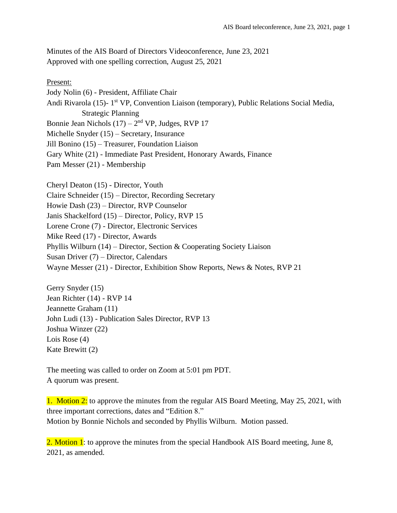Minutes of the AIS Board of Directors Videoconference, June 23, 2021 Approved with one spelling correction, August 25, 2021

Present: Jody Nolin (6) - President, Affiliate Chair Andi Rivarola (15)- 1<sup>st</sup> VP, Convention Liaison (temporary), Public Relations Social Media, Strategic Planning Bonnie Jean Nichols  $(17) - 2<sup>nd</sup> VP$ , Judges, RVP 17 Michelle Snyder (15) – Secretary, Insurance Jill Bonino (15) – Treasurer, Foundation Liaison Gary White (21) - Immediate Past President, Honorary Awards, Finance Pam Messer (21) - Membership

Cheryl Deaton (15) - Director, Youth Claire Schneider (15) – Director, Recording Secretary Howie Dash (23) – Director, RVP Counselor Janis Shackelford (15) – Director, Policy, RVP 15 Lorene Crone (7) - Director, Electronic Services Mike Reed (17) - Director, Awards Phyllis Wilburn (14) – Director, Section & Cooperating Society Liaison Susan Driver (7) – Director, Calendars Wayne Messer (21) - Director, Exhibition Show Reports, News & Notes, RVP 21

Gerry Snyder (15) Jean Richter (14) - RVP 14 Jeannette Graham (11) John Ludi (13) - Publication Sales Director, RVP 13 Joshua Winzer (22) Lois Rose (4) Kate Brewitt (2)

The meeting was called to order on Zoom at 5:01 pm PDT. A quorum was present.

1. Motion 2: to approve the minutes from the regular AIS Board Meeting, May 25, 2021, with three important corrections, dates and "Edition 8." Motion by Bonnie Nichols and seconded by Phyllis Wilburn. Motion passed.

2. Motion 1: to approve the minutes from the special Handbook AIS Board meeting, June 8, 2021, as amended.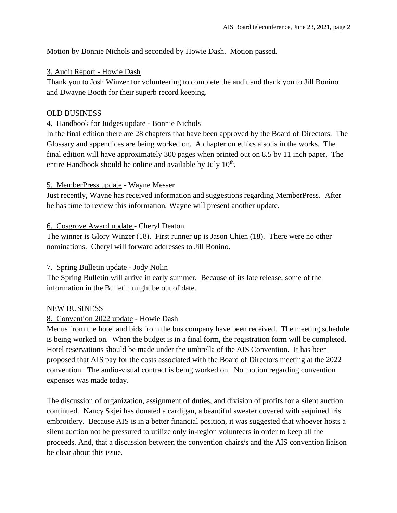Motion by Bonnie Nichols and seconded by Howie Dash. Motion passed.

### 3. Audit Report - Howie Dash

Thank you to Josh Winzer for volunteering to complete the audit and thank you to Jill Bonino and Dwayne Booth for their superb record keeping.

## OLD BUSINESS

## 4. Handbook for Judges update - Bonnie Nichols

In the final edition there are 28 chapters that have been approved by the Board of Directors. The Glossary and appendices are being worked on. A chapter on ethics also is in the works. The final edition will have approximately 300 pages when printed out on 8.5 by 11 inch paper. The entire Handbook should be online and available by July  $10<sup>th</sup>$ .

## 5. MemberPress update - Wayne Messer

Just recently, Wayne has received information and suggestions regarding MemberPress. After he has time to review this information, Wayne will present another update.

## 6. Cosgrove Award update - Cheryl Deaton

The winner is Glory Winzer (18). First runner up is Jason Chien (18). There were no other nominations. Cheryl will forward addresses to Jill Bonino.

# 7. Spring Bulletin update - Jody Nolin

The Spring Bulletin will arrive in early summer. Because of its late release, some of the information in the Bulletin might be out of date.

# NEW BUSINESS

# 8. Convention 2022 update - Howie Dash

Menus from the hotel and bids from the bus company have been received. The meeting schedule is being worked on. When the budget is in a final form, the registration form will be completed. Hotel reservations should be made under the umbrella of the AIS Convention. It has been proposed that AIS pay for the costs associated with the Board of Directors meeting at the 2022 convention. The audio-visual contract is being worked on. No motion regarding convention expenses was made today.

The discussion of organization, assignment of duties, and division of profits for a silent auction continued. Nancy Skjei has donated a cardigan, a beautiful sweater covered with sequined iris embroidery. Because AIS is in a better financial position, it was suggested that whoever hosts a silent auction not be pressured to utilize only in-region volunteers in order to keep all the proceeds. And, that a discussion between the convention chairs/s and the AIS convention liaison be clear about this issue.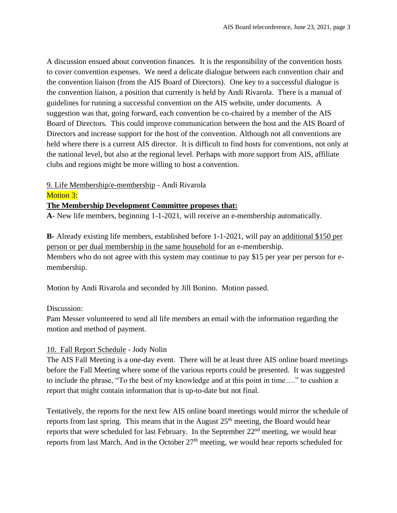A discussion ensued about convention finances. It is the responsibility of the convention hosts to cover convention expenses. We need a delicate dialogue between each convention chair and the convention liaison (from the AIS Board of Directors). One key to a successful dialogue is the convention liaison, a position that currently is held by Andi Rivarola. There is a manual of guidelines for running a successful convention on the AIS website, under documents. A suggestion was that, going forward, each convention be co-chaired by a member of the AIS Board of Directors. This could improve communication between the host and the AIS Board of Directors and increase support for the host of the convention. Although not all conventions are held where there is a current AIS director. It is difficult to find hosts for conventions, not only at the national level, but also at the regional level. Perhaps with more support from AIS, affiliate clubs and regions might be more willing to host a convention.

### 9. Life Membership/e-membership - Andi Rivarola

Motion 3:

### **The Membership Development Committee proposes that:**

**A-** New life members, beginning 1-1-2021, will receive an e-membership automatically.

**B-** Already existing life members, established before 1-1-2021, will pay an additional \$150 per person or per dual membership in the same household for an e-membership. Members who do not agree with this system may continue to pay \$15 per year per person for emembership.

Motion by Andi Rivarola and seconded by Jill Bonino. Motion passed.

### Discussion:

Pam Messer volunteered to send all life members an email with the information regarding the motion and method of payment.

### 10. Fall Report Schedule - Jody Nolin

The AIS Fall Meeting is a one-day event. There will be at least three AIS online board meetings before the Fall Meeting where some of the various reports could be presented. It was suggested to include the phrase, "To the best of my knowledge and at this point in time…." to cushion a report that might contain information that is up-to-date but not final.

Tentatively, the reports for the next few AIS online board meetings would mirror the schedule of reports from last spring. This means that in the August  $25<sup>th</sup>$  meeting, the Board would hear reports that were scheduled for last February. In the September  $22<sup>nd</sup>$  meeting, we would hear reports from last March. And in the October  $27<sup>th</sup>$  meeting, we would hear reports scheduled for